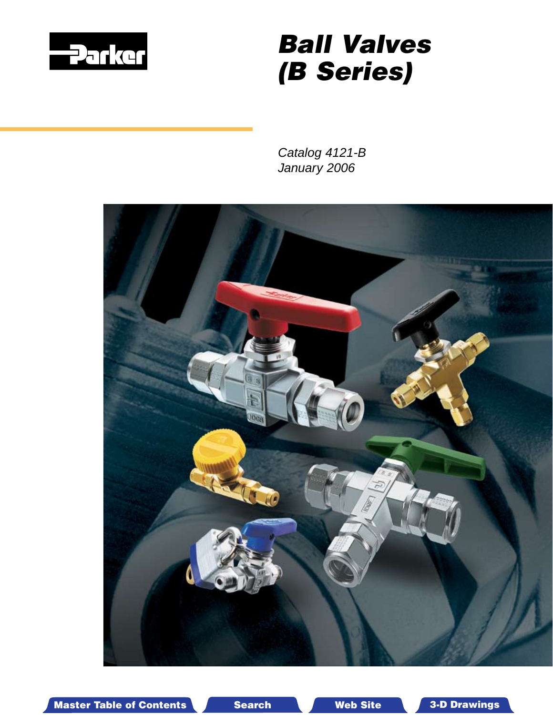<span id="page-0-0"></span>

# *Ball Valves (B Series)*

*Catalog 4121-B January 2006*



Master Table of Contents **3. Dearch Master Table of Contents 3-D Drawings** Search Master Table of Contents 3-D Drawings

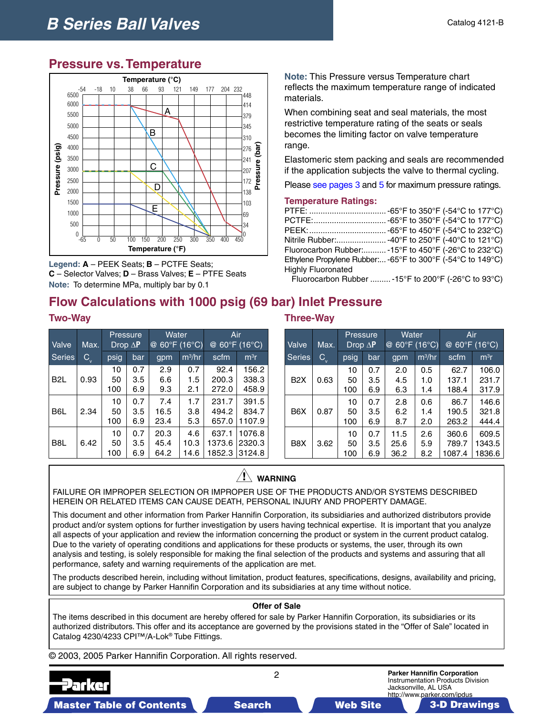## **Pressure vs. Temperature**



**Legend: A** – PEEK Seats; **B** – PCTFE Seats; **C** – Selector Valves; **D** – Brass Valves; **E** – PTFE Seats **Note:** To determine MPa, multiply bar by 0.1

## **Flow Calculations with 1000 psig (69 bar) Inlet Pressure**

| Valve            | Max.                      | Pressure<br>Drop $\Delta$ <b>P</b><br>psig<br>bar |                   | Water<br>@ 60°F (16°C) |                     | Air<br>@ 60°F (16°C)      |                            |  |
|------------------|---------------------------|---------------------------------------------------|-------------------|------------------------|---------------------|---------------------------|----------------------------|--|
| <b>Series</b>    | $\mathsf{C}_{\mathsf{v}}$ |                                                   |                   | gpm                    | $m^3/hr$            | scfm                      | m <sup>3</sup> r           |  |
| B <sub>2</sub> L | 0.93                      | 10<br>50<br>100                                   | 0.7<br>3.5<br>6.9 | 2.9<br>6.6<br>9.3      | 0.7<br>1.5<br>2.1   | 92.4<br>200.3<br>272.0    | 156.2<br>338.3<br>458.9    |  |
| B <sub>6</sub> L | 2.34                      | 10<br>50<br>100                                   | 0.7<br>3.5<br>6.9 | 7.4<br>16.5<br>23.4    | 1.7<br>3.8<br>5.3   | 231.7<br>494.2<br>657.0   | 391.5<br>834.7<br>1107.9   |  |
| B <sub>8</sub> L | 6.42                      | 10<br>50<br>100                                   | 0.7<br>3.5<br>6.9 | 20.3<br>45.4<br>64.2   | 4.6<br>10.3<br>14.6 | 637.1<br>1373.6<br>1852.3 | 1076.8<br>2320.3<br>3124.8 |  |

**Note:** This Pressure versus Temperature chart reflects the maximum temperature range of indicated materials.

When combining seat and seal materials, the most restrictive temperature rating of the seats or seals becomes the limiting factor on valve temperature range.

Elastomeric stem packing and seals are recommended if the application subjects the valve to thermal cycling.

Plea[se see pages](#page-2-0) 3 and 5 [for m](#page-4-0)aximum pressure ratings.

#### **Temperature Ratings:**

|                    | PTFE:  -65°F to 350°F (-54°C to 177°C)                     |
|--------------------|------------------------------------------------------------|
|                    | PCTFE: -65°F to 350°F (-54°C to 177°C)                     |
|                    | PEEK:  -65°F to 450°F (-54°C to 232°C)_                    |
|                    | Nitrile Rubber: -40°F to 250°F (-40°C to 121°C)            |
|                    | Fluorocarbon Rubber: -15°F to 450°F (-26°C to 232°C)       |
|                    | Ethylene Propylene Rubber: -65°F to 300°F (-54°C to 149°C) |
| Highly Fluoronated |                                                            |
|                    |                                                            |

Fluorocarbon Rubber .........-15°F to 200°F (-26°C to 93°C)

#### **Two-Way Three-Way**

| Valve            | Max.                      |                 | Pressure<br>$Drop \Delta P$ | Water<br>@           | $60^{\circ}$ F (16 $^{\circ}$ C) | Air<br>@ 60°F (16°C)     |                           |  |
|------------------|---------------------------|-----------------|-----------------------------|----------------------|----------------------------------|--------------------------|---------------------------|--|
| <b>Series</b>    | $\mathsf{C}_{\mathsf{v}}$ | psig            | bar                         | gpm                  | $m^3$ /hr                        | scfm                     | m <sup>3</sup> r          |  |
| B <sub>2</sub> X | 0.63                      | 10<br>50<br>100 | 0.7<br>3.5<br>6.9           | 2.0<br>4.5<br>6.3    | 0.5<br>1.0<br>1.4                | 62.7<br>137.1<br>188.4   | 106.0<br>231.7<br>317.9   |  |
| B <sub>6</sub> X | 0.87                      | 10<br>50<br>100 | 0.7<br>3.5<br>6.9           | 2.8<br>6.2<br>8.7    | 0.6<br>1.4<br>2.0                | 86.7<br>190.5<br>263.2   | 146.6<br>321.8<br>444.4   |  |
| B8X              | 3.62                      | 10<br>50<br>100 | 0.7<br>3.5<br>6.9           | 11.5<br>25.6<br>36.2 | 2.6<br>5.9<br>8.2                | 360.6<br>789.7<br>1087.4 | 609.5<br>1343.5<br>1836.6 |  |

#### $\bigwedge$ **WARNING**

FAILURE OR IMPROPER SELECTION OR IMPROPER USE OF THE PRODUCTS AND/OR SYSTEMS DESCRIBED HEREIN OR RELATED ITEMS CAN CAUSE DEATH, PERSONAL INJURY AND PROPERTY DAMAGE.

This document and other information from Parker Hannifin Corporation, its subsidiaries and authorized distributors provide product and/or system options for further investigation by users having technical expertise. It is important that you analyze all aspects of your application and review the information concerning the product or system in the current product catalog. Due to the variety of operating conditions and applications for these products or systems, the user, through its own analysis and testing, is solely responsible for making the final selection of the products and systems and assuring that all performance, safety and warning requirements of the application are met.

The products described herein, including without limitation, product features, specifications, designs, availability and pricing, are subject to change by Parker Hannifin Corporation and its subsidiaries at any time without notice.

#### **Offer of Sale**

The items described in this document are hereby offered for sale by Parker Hannifin Corporation, its subsidiaries or its authorized distributors. This offer and its acceptance are governed by the provisions stated in the "Offer of Sale" located in Catalog 4230/4233 CPI™/A-Lok® Tube Fittings.

© 2003, 2005 Parker Hannifin Corporation. All rights reserved.

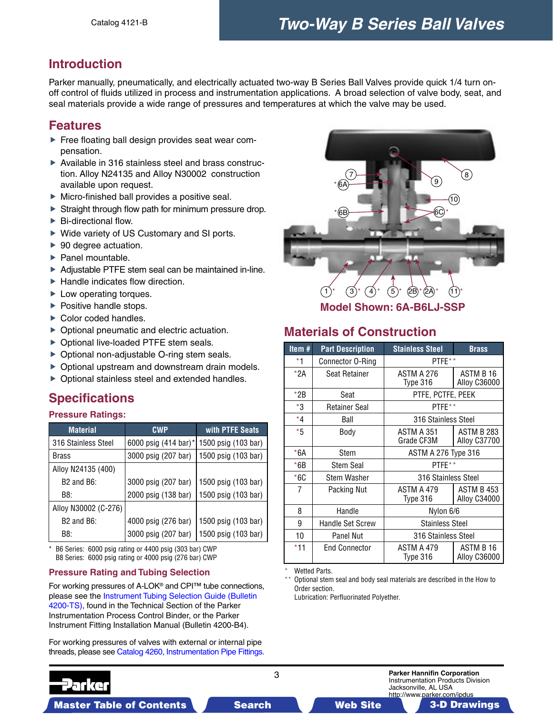## <span id="page-2-0"></span>**Introduction**

Parker manually, pneumatically, and electrically actuated two-way B Series Ball Valves provide quick 1/4 turn onoff control of fluids utilized in process and instrumentation applications. A broad selection of valve body, seat, and seal materials provide a wide range of pressures and temperatures at which the valve may be used.

## **Features**

- Free floating ball design provides seat wear compensation.
- Available in 316 stainless steel and brass construction. Alloy N24135 and Alloy N30002 construction available upon request.
- ▶ Micro-finished ball provides a positive seal.
- Straight through flow path for minimum pressure drop.
- ▶ Bi-directional flow.
- ▶ Wide variety of US Customary and SI ports.
- ▶ 90 degree actuation.
- $\blacktriangleright$  Panel mountable.
- Adjustable PTFE stem seal can be maintained in-line.
- $\blacktriangleright$  Handle indicates flow direction.
- ▶ Low operating torques.
- $\blacktriangleright$  Positive handle stops.
- ▶ Color coded handles.
- ▶ Optional pneumatic and electric actuation.
- ▶ Optional live-loaded PTFE stem seals.
- ▶ Optional non-adjustable O-ring stem seals.
- Optional upstream and downstream drain models.
- Optional stainless steel and extended handles.

## **Specifications**

#### **Pressure Ratings:**

| <b>Material</b>      | <b>CWP</b>           | with PTFE Seats     |
|----------------------|----------------------|---------------------|
| 316 Stainless Steel  | 6000 psig (414 bar)* | 1500 psig (103 bar) |
| Brass                | 3000 psig (207 bar)  | 1500 psig (103 bar) |
| Alloy N24135 (400)   |                      |                     |
| $B2$ and $B6$ :      | 3000 psig (207 bar)  | 1500 psig (103 bar) |
| B8:                  | 2000 psig (138 bar)  | 1500 psig (103 bar) |
| Alloy N30002 (C-276) |                      |                     |
| $B2$ and $B6$ :      | 4000 psig (276 bar)  | 1500 psig (103 bar) |
| B8:                  | 3000 psig (207 bar)  | 1500 psig (103 bar) |

\* B6 Series: 6000 psig rating or 4400 psig (303 bar) CWP B8 Series: 6000 psig rating or 4000 psig (276 bar) CWP

#### **Pressure Rating and Tubing Selection**

For working pressures of A-LOK® and CPI™ tube connections, [please see the Instrument Tubing Selection Guide \(Bulletin](#page-0-0)  4200-TS), found in the Technical Section of the Parker Instrumentation Process Control Binder, or the Parker Instrument Fitting Installation Manual (Bulletin 4200-B4).

For working pressures of valves with external or internal pipe threads, please s[ee Catalog 4260, Instrumentation Pipe Fittings.](#page-0-0)



**Model Shown: 6A-B6LJ-SSP**

## **Materials of Construction**

| Item#   | <b>Part Description</b> | <b>Stainless Steel</b>   | <b>Brass</b>                      |  |  |  |  |
|---------|-------------------------|--------------------------|-----------------------------------|--|--|--|--|
| *1      | Connector O-Ring        | PTFE**                   |                                   |  |  |  |  |
| $*2A$   | Seat Retainer           | ASTM A 276<br>Type 316   | ASTM B 16<br>Alloy C36000         |  |  |  |  |
| *2B     | Seat                    | PTFE, PCTFE, PEEK        |                                   |  |  |  |  |
| $*3$    | <b>Retainer Seal</b>    | PTFF**                   |                                   |  |  |  |  |
| $*_{4}$ | Ball                    | 316 Stainless Steel      |                                   |  |  |  |  |
| $*5$    | Body                    | ASTM A 351<br>Grade CF3M | <b>ASTM B 283</b><br>Alloy C37700 |  |  |  |  |
| *6A     | Stem                    |                          | <b>ASTM A 276 Type 316</b>        |  |  |  |  |
| *6B     | <b>Stem Seal</b>        | PTFE**                   |                                   |  |  |  |  |
| $*6C$   | <b>Stem Washer</b>      | 316 Stainless Steel      |                                   |  |  |  |  |
| 7       | Packing Nut             | ASTM A 479<br>Type 316   | ASTM B 453<br>Alloy C34000        |  |  |  |  |
| 8       | Handle                  | Nylon 6/6                |                                   |  |  |  |  |
| 9       | <b>Handle Set Screw</b> | <b>Stainless Steel</b>   |                                   |  |  |  |  |
| 10      | <b>Panel Nut</b>        | 316 Stainless Steel      |                                   |  |  |  |  |
| *11     | <b>End Connector</b>    | ASTM A 479<br>Type 316   | ASTM B 16<br><b>Alloy C36000</b>  |  |  |  |  |

Wetted Parts.

\*\* Optional stem seal and body seal materials are described in the How to Order section.

Lubrication: Perfluorinated Polyether.

Master Table of Contents **3. Dearch Master Table of Contents 3-D Drawings Search** Master Table of Contents 3-D Drawings

3 **Parker Hannifin Corporation** Instrumentation Products Division Jacksonville, AL USA http://www.parker.com/ipdus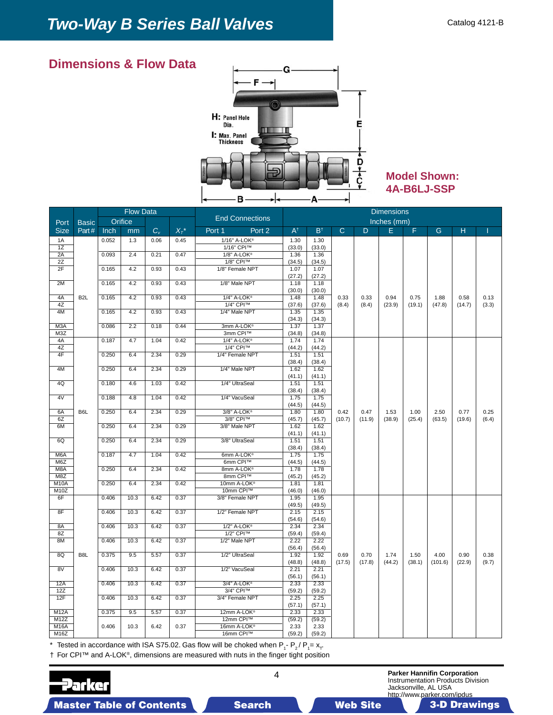

## **Model Shown: 4A-B6LJ-SSP**

|                           |                  |       | <b>Flow Data</b> |             |         |                          | <b>Dimensions</b> |                |              |        |             |        |         |        |       |
|---------------------------|------------------|-------|------------------|-------------|---------|--------------------------|-------------------|----------------|--------------|--------|-------------|--------|---------|--------|-------|
| Port                      | <b>Basic</b>     |       | Orifice          |             |         | <b>End Connections</b>   |                   |                |              |        | Inches (mm) |        |         |        |       |
| <b>Size</b>               | Part#            | Inch  | mm               | $C_{\rm v}$ | $X_T^*$ | Port 1<br>Port 2         | $A^{\dagger}$     | $B^{\dagger}$  | $\mathsf{C}$ | D      | E           | F.     | G       | н      |       |
| 1A                        |                  | 0.052 | 1.3              | 0.06        | 0.45    | 1/16" A-LOK®             | 1.30              | 1.30           |              |        |             |        |         |        |       |
| 1Z                        |                  |       |                  |             |         | 1/16" CPI™               | (33.0)            | (33.0)         |              |        |             |        |         |        |       |
| 2A                        |                  | 0.093 | 2.4              | 0.21        | 0.47    | 1/8" A-LOK®              | 1.36              | 1.36           |              |        |             |        |         |        |       |
| 2Z                        |                  |       |                  |             |         | 1/8" CPI™                | (34.5)            | (34.5)         |              |        |             |        |         |        |       |
| 2F                        |                  | 0.165 | 4.2              | 0.93        | 0.43    | 1/8" Female NPT          | 1.07              | 1.07           |              |        |             |        |         |        |       |
|                           |                  |       |                  |             |         |                          | (27.2)            | (27.2)         |              |        |             |        |         |        |       |
| 2M                        |                  | 0.165 | 4.2              | 0.93        | 0.43    | 1/8" Male NPT            | 1.18              | 1.18           |              |        |             |        |         |        |       |
| 4A                        | B <sub>2</sub> L | 0.165 | 4.2              | 0.93        | 0.43    | 1/4" A-LOK®              | (30.0)<br>1.48    | (30.0)<br>1.48 | 0.33         | 0.33   | 0.94        | 0.75   | 1.88    | 0.58   | 0.13  |
| 4Z                        |                  |       |                  |             |         | 1/4" CPI™                | (37.6)            | (37.6)         | (8.4)        | (8.4)  | (23.9)      | (19.1) | (47.8)  | (14.7) | (3.3) |
| 4M                        |                  | 0.165 | 4.2              | 0.93        | 0.43    | 1/4" Male NPT            | 1.35              | 1.35           |              |        |             |        |         |        |       |
|                           |                  |       |                  |             |         |                          | (34.3)            | (34.3)         |              |        |             |        |         |        |       |
| M3A                       |                  | 0.086 | 2.2              | 0.18        | 0.44    | 3mm A-LOK®               | 1.37              | 1.37           |              |        |             |        |         |        |       |
| M3Z                       |                  |       |                  |             |         | 3mm CPI™                 | (34.8)            | (34.8)         |              |        |             |        |         |        |       |
| 4A                        |                  | 0.187 | 4.7              | 1.04        | 0.42    | 1/4" A-LOK®              | 1.74              | 1.74           |              |        |             |        |         |        |       |
| 4Z                        |                  |       |                  |             |         | 1/4" CPI™                | (44.2)            | (44.2)         |              |        |             |        |         |        |       |
| 4F                        |                  | 0.250 | 6.4              | 2.34        | 0.29    | 1/4" Female NPT          | 1.51              | 1.51           |              |        |             |        |         |        |       |
| 4M                        |                  | 0.250 | 6.4              | 2.34        | 0.29    | 1/4" Male NPT            | (38.4)<br>1.62    | (38.4)<br>1.62 |              |        |             |        |         |        |       |
|                           |                  |       |                  |             |         |                          | (41.1)            | (41.1)         |              |        |             |        |         |        |       |
| 4Q                        |                  | 0.180 | 4.6              | 1.03        | 0.42    | 1/4" UltraSeal           | 1.51              | 1.51           |              |        |             |        |         |        |       |
|                           |                  |       |                  |             |         |                          | (38.4)            | (38.4)         |              |        |             |        |         |        |       |
| 4V                        |                  | 0.188 | 4.8              | 1.04        | 0.42    | 1/4" VacuSeal            | 1.75              | 1.75           |              |        |             |        |         |        |       |
|                           |                  |       |                  |             |         |                          | (44.5)            | (44.5)         |              |        |             |        |         |        |       |
| 6A                        | B6L              | 0.250 | 6.4              | 2.34        | 0.29    | 3/8" A-LOK®              | 1.80              | 1.80           | 0.42         | 0.47   | 1.53        | 1.00   | 2.50    | 0.77   | 0.25  |
| 6Z                        |                  |       |                  |             |         | 3/8" CPI™                | (45.7)            | (45.7)         | (10.7)       | (11.9) | (38.9)      | (25.4) | (63.5)  | (19.6) | (6.4) |
| 6M                        |                  | 0.250 | 6.4              | 2.34        | 0.29    | 3/8" Male NPT            | 1.62<br>(41.1)    | 1.62<br>(41.1) |              |        |             |        |         |        |       |
| 6Q                        |                  | 0.250 | 6.4              | 2.34        | 0.29    | 3/8" UltraSeal           | 1.51              | 1.51           |              |        |             |        |         |        |       |
|                           |                  |       |                  |             |         |                          | (38.4)            | (38.4)         |              |        |             |        |         |        |       |
| M6A                       |                  | 0.187 | 4.7              | 1.04        | 0.42    | 6mm A-LOK®               | 1.75              | 1.75           |              |        |             |        |         |        |       |
| M6Z                       |                  |       |                  |             |         | 6mm CPI™                 | (44.5)            | (44.5)         |              |        |             |        |         |        |       |
| M8A                       |                  | 0.250 | 6.4              | 2.34        | 0.42    | 8mm A-LOK®               | 1.78              | 1.78           |              |        |             |        |         |        |       |
| M8Z                       |                  |       |                  | 2.34        |         | 8mm CPI™                 | (45.2)            | (45.2)         |              |        |             |        |         |        |       |
| M <sub>10</sub> A<br>M10Z |                  | 0.250 | 6.4              |             | 0.42    | 10mm A-LOK®<br>10mm CPI™ | 1.81<br>(46.0)    | 1.81<br>(46.0) |              |        |             |        |         |        |       |
| 6F                        |                  | 0.406 | 10.3             | 6.42        | 0.37    | 3/8" Female NPT          | 1.95              | 1.95           |              |        |             |        |         |        |       |
|                           |                  |       |                  |             |         |                          | (49.5)            | (49.5)         |              |        |             |        |         |        |       |
| 8F                        |                  | 0.406 | 10.3             | 6.42        | 0.37    | 1/2" Female NPT          | 2.15              | 2.15           |              |        |             |        |         |        |       |
|                           |                  |       |                  |             |         |                          | (54.6)            | (54.6)         |              |        |             |        |         |        |       |
| 8A                        |                  | 0.406 | 10.3             | 6.42        | 0.37    | 1/2" A-LOK®              | 2.34              | 2.34           |              |        |             |        |         |        |       |
| 8Z                        |                  | 0.406 | 10.3             | 6.42        | 0.37    | 1/2" CPI™                | (59.4)<br>2.22    | (59.4)         |              |        |             |        |         |        |       |
| 8M                        |                  |       |                  |             |         | 1/2" Male NPT            | (56.4)            | 2.22<br>(56.4) |              |        |             |        |         |        |       |
| 8Q                        | B <sub>8</sub> L | 0.375 | 9.5              | 5.57        | 0.37    | 1/2" UltraSeal           | 1.92              | 1.92           | 0.69         | 0.70   | 1.74        | 1.50   | 4.00    | 0.90   | 0.38  |
|                           |                  |       |                  |             |         |                          | (48.8)            | (48.8)         | (17.5)       | (17.8) | (44.2)      | (38.1) | (101.6) | (22.9) | (9.7) |
| 8V                        |                  | 0.406 | 10.3             | 6.42        | 0.37    | 1/2" VacuSeal            | 2.21              | 2.21           |              |        |             |        |         |        |       |
|                           |                  |       |                  |             |         |                          | (56.1)            | (56.1)         |              |        |             |        |         |        |       |
| 12A                       |                  | 0.406 | 10.3             | 6.42        | 0.37    | 3/4" A-LOK®              | 2.33              | 2.33           |              |        |             |        |         |        |       |
| 12Z                       |                  |       |                  |             |         | 3/4" CPITM               | (59.2)            | (59.2)         |              |        |             |        |         |        |       |
| 12F                       |                  | 0.406 | 10.3             | 6.42        | 0.37    | 3/4" Female NPT          | 2.25              | 2.25           |              |        |             |        |         |        |       |
| <b>M12A</b>               |                  | 0.375 | 9.5              | 5.57        | 0.37    | 12mm A-LOK®              | (57.1)<br>2.33    | (57.1)<br>2.33 |              |        |             |        |         |        |       |
| M12Z                      |                  |       |                  |             |         | 12mm CPI™                | (59.2)            | (59.2)         |              |        |             |        |         |        |       |
| <b>M16A</b>               |                  | 0.406 | 10.3             | 6.42        | 0.37    | 16mm A-LOK®              | 2.33              | 2.33           |              |        |             |        |         |        |       |
| M <sub>16</sub> Z         |                  |       |                  |             |         | 16mm CPI™                | (59.2)            | (59.2)         |              |        |             |        |         |        |       |

\* Tested in accordance with ISA S75.02. Gas flow will be choked when P<sub>1</sub>- P<sub>2</sub>/ P<sub>1</sub>= x<sub>T</sub>

† For CPI™ and A-LOK®, dimensions are measured with nuts in the finger tight position

arker

4 **Parker Hannifin Corporation** Instrumentation Products Division Jacksonville, AL USA

http://www.parker.com/ipdus Master Table of Contents **3. Search Master Table of Contents 3-D Drawings 3-D Drawings** 3-D Drawings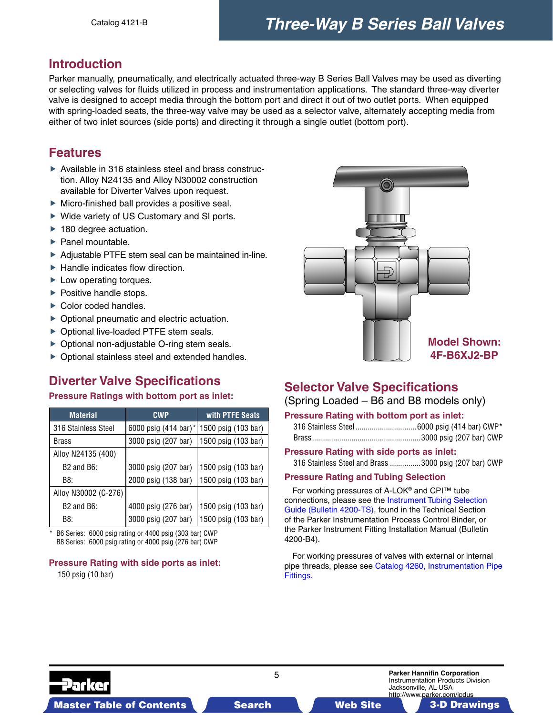## <span id="page-4-0"></span>**Introduction**

Parker manually, pneumatically, and electrically actuated three-way B Series Ball Valves may be used as diverting or selecting valves for fluids utilized in process and instrumentation applications. The standard three-way diverter valve is designed to accept media through the bottom port and direct it out of two outlet ports. When equipped with spring-loaded seats, the three-way valve may be used as a selector valve, alternately accepting media from either of two inlet sources (side ports) and directing it through a single outlet (bottom port).

## **Features**

- Available in 316 stainless steel and brass construction. Alloy N24135 and Alloy N30002 construction available for Diverter Valves upon request.
- Micro-finished ball provides a positive seal.
- $\triangleright$  Wide variety of US Customary and SI ports.
- ▶ 180 degree actuation.
- $\blacktriangleright$  Panel mountable.
- ▶ Adiustable PTFE stem seal can be maintained in-line.
- $\blacktriangleright$  Handle indicates flow direction.
- ► Low operating torques.
- $\blacktriangleright$  Positive handle stops.
- ▶ Color coded handles.
- $\triangleright$  Optional pneumatic and electric actuation.
- ▶ Optional live-loaded PTFE stem seals.
- ▶ Optional non-adjustable O-ring stem seals.
- ▶ Optional stainless steel and extended handles.

## **Diverter Valve Specifications**

#### **Pressure Ratings with bottom port as inlet:**

| <b>Material</b>      | <b>CWP</b>           | with PTFE Seats     |
|----------------------|----------------------|---------------------|
| 316 Stainless Steel  | 6000 psig (414 bar)* | 1500 psig (103 bar) |
| <b>Brass</b>         | 3000 psig (207 bar)  | 1500 psig (103 bar) |
| Alloy N24135 (400)   |                      |                     |
| $B2$ and $B6$ :      | 3000 psig (207 bar)  | 1500 psig (103 bar) |
| B8:                  | 2000 psig (138 bar)  | 1500 psig (103 bar) |
| Alloy N30002 (C-276) |                      |                     |
| $B2$ and $B6$ :      | 4000 psig (276 bar)  | 1500 psig (103 bar) |
| B8:                  | 3000 psig (207 bar)  | 1500 psig (103 bar) |

B6 Series: 6000 psig rating or 4400 psig (303 bar) CWP B8 Series: 6000 psig rating or 4000 psig (276 bar) CWP

## **Pressure Rating with side ports as inlet:**

150 psig (10 bar)



## **Selector Valve Specifications**

### (Spring Loaded – B6 and B8 models only)

#### **Pressure Rating with bottom port as inlet:**

#### **Pressure Rating with side ports as inlet:**

316 Stainless Steel and Brass ...............3000 psig (207 bar) CWP

#### **Pressure Rating and Tubing Selection**

 For working pressures of A-LOK® and CPI™ tube [connections, please see the Instrument Tubing Selection](#page-0-0)  Guide (Bulletin 4200-TS), found in the Technical Section of the Parker Instrumentation Process Control Binder, or the Parker Instrument Fitting Installation Manual (Bulletin 4200-B4).

 For working pressures of valves with external or internal [pipe threads, please see Catalog 4260, Instrumentation Pipe](#page-0-0)  Fittings.



5 **Parker Hannifin Corporation** Instrumentation Products Division Jacksonville, AL USA http://www.parker.com/ipdus

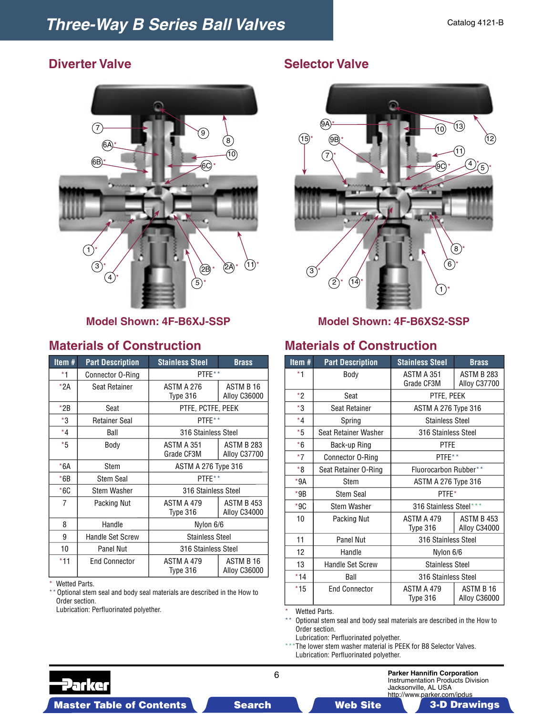

## **Materials of Construction**

| Item $#$       | <b>Part Description</b> | <b>Stainless Steel</b>     | <b>Brass</b>                     |  |  |  |
|----------------|-------------------------|----------------------------|----------------------------------|--|--|--|
| *1             | Connector O-Ring        | PTFE**                     |                                  |  |  |  |
| $*2A$          | Seat Retainer           | ASTM A 276<br>Type 316     | ASTM B 16<br><b>Alloy C36000</b> |  |  |  |
| $*2B$          | Seat                    | PTFE, PCTFE, PEEK          |                                  |  |  |  |
| *3             | <b>Retainer Seal</b>    | PTFE**                     |                                  |  |  |  |
| $*_{4}$        | Ball                    | 316 Stainless Steel        |                                  |  |  |  |
| $*5$           | Body                    | ASTM A 351<br>Grade CF3M   | ASTM B 283<br>Alloy C37700       |  |  |  |
| $*6A$          | Stem                    | <b>ASTM A 276 Type 316</b> |                                  |  |  |  |
| $*6B$          | <b>Stem Seal</b>        | PTFE**                     |                                  |  |  |  |
| $*6C$          | <b>Stem Washer</b>      | 316 Stainless Steel        |                                  |  |  |  |
| $\overline{7}$ | Packing Nut             | ASTM A 479<br>Type 316     | ASTM B 453<br>Alloy C34000       |  |  |  |
| 8              | Handle                  | Nylon 6/6                  |                                  |  |  |  |
| 9              | <b>Handle Set Screw</b> | <b>Stainless Steel</b>     |                                  |  |  |  |
| 10             | <b>Panel Nut</b>        | 316 Stainless Steel        |                                  |  |  |  |
| $*11$          | <b>End Connector</b>    | ASTM A 479<br>Type 316     | ASTM B 16<br><b>Alloy C36000</b> |  |  |  |

\* Wetted Parts.

\*\* Optional stem seal and body seal materials are described in the How to Order section.

Lubrication: Perfluorinated polyether.

## **Diverter Valve Selector Valve**



**Model Shown: 4F-B6XJ-SSP Model Shown: 4F-B6XS2-SSP**

## **Materials of Construction**

| Item#   | <b>Part Description</b> | <b>Stainless Steel</b>     | <b>Brass</b>                      |  |  |  |
|---------|-------------------------|----------------------------|-----------------------------------|--|--|--|
| *1      | Body                    | ASTM A 351<br>Grade CF3M   | <b>ASTM B 283</b><br>Alloy C37700 |  |  |  |
| $*2$    | Seat                    | PTFE, PEEK                 |                                   |  |  |  |
| $*3$    | Seat Retainer           | <b>ASTM A 276 Type 316</b> |                                   |  |  |  |
| $*_{4}$ | Spring                  | <b>Stainless Steel</b>     |                                   |  |  |  |
| *5      | Seat Retainer Washer    | 316 Stainless Steel        |                                   |  |  |  |
| $*6$    | Back-up Ring            | <b>PTFE</b>                |                                   |  |  |  |
| $*7$    | Connector O-Ring        | PTFF**                     |                                   |  |  |  |
| $*_{8}$ | Seat Retainer O-Ring    | Fluorocarbon Rubber**      |                                   |  |  |  |
| *9A     | Stem                    | ASTM A 276 Type 316        |                                   |  |  |  |
| $*9B$   | <b>Stem Seal</b>        | PTFE*                      |                                   |  |  |  |
| $*9C$   | <b>Stem Washer</b>      | 316 Stainless Steel***     |                                   |  |  |  |
| 10      | Packing Nut             | ASTM A 479<br>Type 316     | ASTM B 453<br>Alloy C34000        |  |  |  |
| 11      | <b>Panel Nut</b>        | 316 Stainless Steel        |                                   |  |  |  |
| 12      | Handle                  | Nylon 6/6                  |                                   |  |  |  |
| 13      | <b>Handle Set Screw</b> | <b>Stainless Steel</b>     |                                   |  |  |  |
| $*14$   | Ball                    | 316 Stainless Steel        |                                   |  |  |  |
| $*15$   | <b>End Connector</b>    | ASTM A 479<br>Type 316     | ASTM B 16<br>Alloy C36000         |  |  |  |

Wetted Parts.

\*\* Optional stem seal and body seal materials are described in the How to Order section.

Lubrication: Perfluorinated polyether.

\*\*\*The lower stem washer material is PEEK for B8 Selector Valves. Lubrication: Perfluorinated polyether.

6 **Parker Hannifin Corporation**



Master Table of Contents **3. Dearch Master Table of Contents 3-D Drawings 3-D Drawings** 3-D Drawings

http://www.parker.com/ipdus

Instrumentation Products Division

Jacksonville, AL USA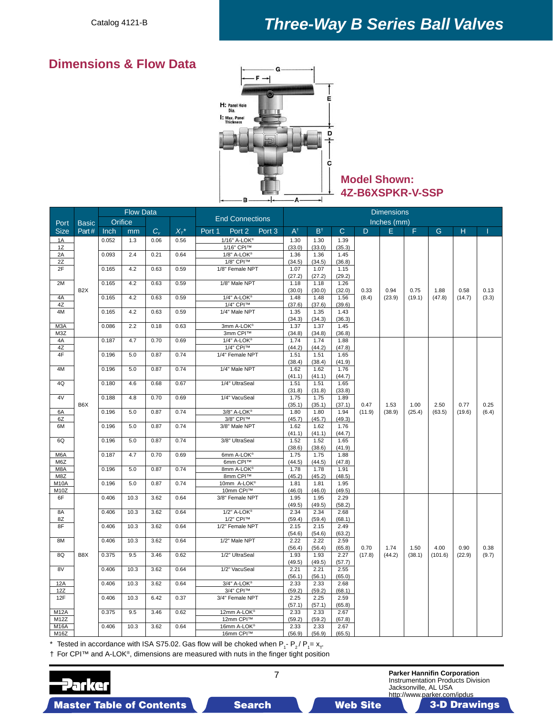## *Three-Way B Series Ball Valves*

## **Dimensions & Flow Data**



## **Model Shown: 4Z-B6XSPKR-V-SSP**

|                                        |                  |       | <b>Flow Data</b> |             |              |                          |                   |                |                |                | <b>Dimensions</b> |                |                |                |                |               |
|----------------------------------------|------------------|-------|------------------|-------------|--------------|--------------------------|-------------------|----------------|----------------|----------------|-------------------|----------------|----------------|----------------|----------------|---------------|
| Port                                   | <b>Basic</b>     |       | Orifice          |             |              | <b>End Connections</b>   |                   |                |                |                |                   | Inches (mm)    |                |                |                |               |
| <b>Size</b>                            | Part#            | Inch  | mm               | $C_{\rm v}$ | $X_{\tau}^*$ | Port 1<br>Port 2         | Port <sub>3</sub> | $A^{\dagger}$  | $B^{\dagger}$  | $\mathbf C$    | D                 | E.             | F              | G              | H              |               |
| 1A                                     |                  | 0.052 | 1.3              | 0.06        | 0.56         | 1/16" A-LOK®             |                   | 1.30           | 1.30           | 1.39           |                   |                |                |                |                |               |
| 1Z                                     |                  |       |                  |             |              | 1/16" CPI™               |                   | (33.0)         | (33.0)         | (35.3)         |                   |                |                |                |                |               |
| 2A                                     |                  | 0.093 | 2.4              | 0.21        | 0.64         | 1/8" A-LOK®              |                   | 1.36           | 1.36           | 1.45           |                   |                |                |                |                |               |
| 2Z                                     |                  |       |                  |             |              | 1/8" CPI™                |                   | (34.5)         | (34.5)         | (36.8)         |                   |                |                |                |                |               |
| 2F                                     |                  | 0.165 | 4.2              | 0.63        | 0.59         | 1/8" Female NPT          |                   | 1.07           | 1.07           | 1.15           |                   |                |                |                |                |               |
|                                        |                  |       |                  |             |              |                          |                   | (27.2)         | (27.2)         | (29.2)         |                   |                |                |                |                |               |
| 2M                                     |                  | 0.165 | 4.2              | 0.63        | 0.59         | 1/8" Male NPT            |                   | 1.18           | 1.18           | 1.26           |                   |                |                |                |                |               |
|                                        | B <sub>2</sub> X |       |                  |             |              |                          |                   | (30.0)         | (30.0)         | (32.0)         | 0.33              | 0.94           | 0.75           | 1.88           | 0.58           | 0.13          |
| 4A                                     |                  | 0.165 | 4.2              | 0.63        | 0.59         | 1/4" A-LOK®              |                   | 1.48           | 1.48           | 1.56           | (8.4)             | (23.9)         | (19.1)         | (47.8)         | (14.7)         | (3.3)         |
| 4Z                                     |                  |       |                  |             |              | 1/4" CPI™                |                   | (37.6)         | (37.6)         | (39.6)         |                   |                |                |                |                |               |
| 4M                                     |                  | 0.165 | 4.2              | 0.63        | 0.59         | 1/4" Male NPT            |                   | 1.35           | 1.35           | 1.43           |                   |                |                |                |                |               |
| M3A                                    |                  | 0.086 | 2.2              | 0.18        | 0.63         | 3mm A-LOK®               |                   | (34.3)<br>1.37 | (34.3)<br>1.37 | (36.3)<br>1.45 |                   |                |                |                |                |               |
| M3Z                                    |                  |       |                  |             |              | 3mm CPI™                 |                   | (34.8)         | (34.8)         | (36.8)         |                   |                |                |                |                |               |
| 4A                                     |                  | 0.187 | 4.7              | 0.70        | 0.69         | 1/4" A-LOK®              |                   | 1.74           | 1.74           | 1.88           |                   |                |                |                |                |               |
| 4Z                                     |                  |       |                  |             |              | 1/4" CPI™                |                   | (44.2)         | (44.2)         | (47.8)         |                   |                |                |                |                |               |
| 4F                                     |                  | 0.196 | 5.0              | 0.87        | 0.74         | 1/4" Female NPT          |                   | 1.51           | 1.51           | 1.65           |                   |                |                |                |                |               |
|                                        |                  |       |                  |             |              |                          |                   | (38.4)         | (38.4)         | (41.9)         |                   |                |                |                |                |               |
| 4M                                     |                  | 0.196 | 5.0              | 0.87        | 0.74         | 1/4" Male NPT            |                   | 1.62           | 1.62           | 1.76           |                   |                |                |                |                |               |
|                                        |                  |       |                  |             |              |                          |                   | (41.1)         | (41.1)         | (44.7)         |                   |                |                |                |                |               |
| 4Q                                     |                  | 0.180 | 4.6              | 0.68        | 0.67         | 1/4" UltraSeal           |                   | 1.51           | 1.51           | 1.65           |                   |                |                |                |                |               |
|                                        |                  |       |                  |             |              |                          |                   | (31.8)         | (31.8)         | (33.8)         |                   |                |                |                |                |               |
| 4V                                     |                  | 0.188 | 4.8              | 0.70        | 0.69         | 1/4" VacuSeal            |                   | 1.75           | 1.75           | 1.89           |                   |                |                |                |                |               |
| 6A                                     | B <sub>6</sub> X | 0.196 | 5.0              | 0.87        | 0.74         | 3/8" A-LOK®              |                   | (35.1)<br>1.80 | (35.1)<br>1.80 | (37.1)<br>1.94 | 0.47<br>(11.9)    | 1.53<br>(38.9) | 1.00<br>(25.4) | 2.50<br>(63.5) | 0.77<br>(19.6) | 0.25<br>(6.4) |
| 6Z                                     |                  |       |                  |             |              | 3/8" CPI™                |                   | (45.7)         | (45.7)         | (49.3)         |                   |                |                |                |                |               |
| 6M                                     |                  | 0.196 | 5.0              | 0.87        | 0.74         | 3/8" Male NPT            |                   | 1.62           | 1.62           | 1.76           |                   |                |                |                |                |               |
|                                        |                  |       |                  |             |              |                          |                   | (41.1)         | (41.1)         | (44.7)         |                   |                |                |                |                |               |
| 6Q                                     |                  | 0.196 | 5.0              | 0.87        | 0.74         | 3/8" UltraSeal           |                   | 1.52           | 1.52           | 1.65           |                   |                |                |                |                |               |
|                                        |                  |       |                  |             |              |                          |                   | (38.6)         | (38.6)         | (41.9)         |                   |                |                |                |                |               |
| M <sub>6</sub> A                       |                  | 0.187 | 4.7              | 0.70        | 0.69         | 6mm A-LOK®               |                   | 1.75           | 1.75           | 1.88           |                   |                |                |                |                |               |
| M6Z                                    |                  |       |                  |             |              | 6mm CPI™                 |                   | (44.5)         | (44.5)         | (47.8)         |                   |                |                |                |                |               |
| M8A                                    |                  | 0.196 | 5.0              | 0.87        | 0.74         | 8mm A-LOK®               |                   | 1.78           | 1.78           | 1.91           |                   |                |                |                |                |               |
| M8Z                                    |                  |       |                  |             |              | 8mm CPI™                 |                   | (45.2)         | (45.2)         | (48.5)         |                   |                |                |                |                |               |
| M <sub>10</sub> A<br>M <sub>10</sub> Z |                  | 0.196 | 5.0              | 0.87        | 0.74         | 10mm A-LOK®<br>10mm CPI™ |                   | 1.81<br>(46.0) | 1.81<br>(46.0) | 1.95<br>(49.5) |                   |                |                |                |                |               |
| 6F                                     |                  | 0.406 | 10.3             | 3.62        | 0.64         | 3/8" Female NPT          |                   | 1.95           | 1.95           | 2.29           |                   |                |                |                |                |               |
|                                        |                  |       |                  |             |              |                          |                   | (49.5)         | (49.5)         | (58.2)         |                   |                |                |                |                |               |
| 8A                                     |                  | 0.406 | 10.3             | 3.62        | 0.64         | 1/2" A-LOK®              |                   | 2.34           | 2.34           | 2.68           |                   |                |                |                |                |               |
| 8Z                                     |                  |       |                  |             |              | 1/2" CPI™                |                   | (59.4)         | (59.4)         | (68.1)         |                   |                |                |                |                |               |
| 8F                                     |                  | 0.406 | 10.3             | 3.62        | 0.64         | 1/2" Female NPT          |                   | 2.15           | 2.15           | 2.49           |                   |                |                |                |                |               |
|                                        |                  |       |                  |             |              |                          |                   | (54.6)         | (54.6)         | (63.2)         |                   |                |                |                |                |               |
| 8M                                     |                  | 0.406 | 10.3             | 3.62        | 0.64         | 1/2" Male NPT            |                   | 2.22           | 2.22           | 2.59           |                   |                |                |                |                |               |
|                                        |                  |       |                  |             |              |                          |                   | (56.4)         | (56.4)         | (65.8)         | 0.70              | 1.74           | 1.50           | 4.00           | 0.90           | 0.38          |
| 8Q                                     | B8X              | 0.375 | 9.5              | 3.46        | 0.62         | 1/2" UltraSeal           |                   | 1.93           | 1.93           | 2.27           | (17.8)            | (44.2)         | (38.1)         | (101.6)        | (22.9)         | (9.7)         |
|                                        |                  |       |                  |             |              |                          |                   | (49.5)         | (49.5)         | (57.7)         |                   |                |                |                |                |               |
| 8V                                     |                  | 0.406 | 10.3             | 3.62        | 0.64         | 1/2" VacuSeal            |                   | 2.21<br>(56.1) | 2.21<br>(56.1) | 2.55<br>(65.0) |                   |                |                |                |                |               |
| 12A                                    |                  | 0.406 | 10.3             | 3.62        | 0.64         | 3/4" A-LOK®              |                   | 2.33           | 2.33           | 2.68           |                   |                |                |                |                |               |
| 12Z                                    |                  |       |                  |             |              | 3/4" CPI™                |                   | (59.2)         | (59.2)         | (68.1)         |                   |                |                |                |                |               |
| 12F                                    |                  | 0.406 | 10.3             | 6.42        | 0.37         | 3/4" Female NPT          |                   | 2.25           | 2.25           | 2.59           |                   |                |                |                |                |               |
|                                        |                  |       |                  |             |              |                          |                   | (57.1)         | (57.1)         | (65.8)         |                   |                |                |                |                |               |
| <b>M12A</b>                            |                  | 0.375 | 9.5              | 3.46        | 0.62         | 12mm A-LOK®              |                   | 2.33           | 2.33           | 2.67           |                   |                |                |                |                |               |
| M12Z                                   |                  |       |                  |             |              | 12mm CPI™                |                   | (59.2)         | (59.2)         | (67.8)         |                   |                |                |                |                |               |
| <b>M16A</b>                            |                  | 0.406 | 10.3             | 3.62        | 0.64         | 16mm A-LOK®              |                   | 2.33           | 2.33           | 2.67           |                   |                |                |                |                |               |
| M16Z                                   |                  |       |                  |             |              | 16mm CPI™                |                   | (56.9)         | (56.9)         | (65.5)         |                   |                |                |                |                |               |

 $^*$  Tested in accordance with ISA S75.02. Gas flow will be choked when P<sub>1</sub>- P<sub>2</sub>/ P<sub>1</sub>= x<sub>T</sub>

† For CPI™ and A-LOK®, dimensions are measured with nuts in the finger tight position

arker

7 **Parker Hannifin Corporation** Instrumentation Products Division Jacksonville, AL USA

http://www.parker.com/ipdus Master Table of Contents **3. Search Master Table of Contents 3-D Drawings 3-D Drawings** 3-D Drawings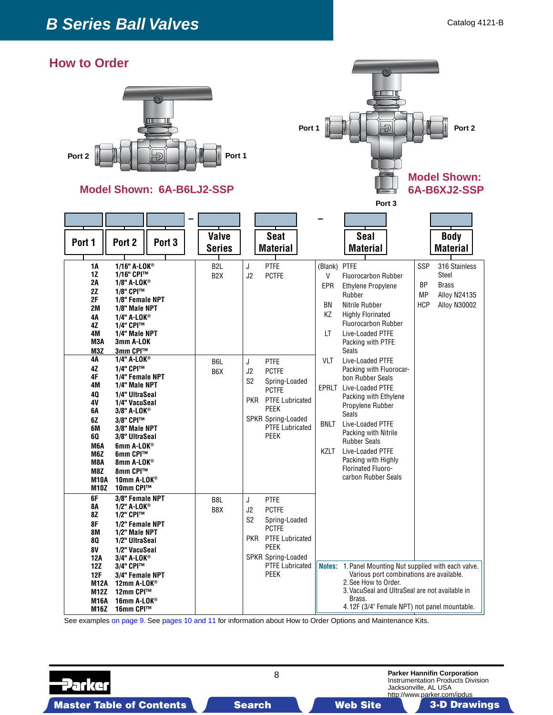## **How to Order**





**Seat Material Valve Series Seal Material Port <sup>1</sup> Port <sup>2</sup> Port <sup>3</sup> Body Material 1A 1/16" A-LOK® 1Z 1/16" CPI™**<br>**2A 1/8" A-LOK® 2A 1/8" A-LOK® 2Z 1/8" CPI™ 2F 1/8" Female NPT 2M 1/8" Male NPT 4A 1/4" A-LOK® 4Z 1/4" CPI™ 4M 1/4" Male NPT M3A 3mm A-LOK M3Z 3mm CPI™ 4A 1/4" A-LOK® 4Z 1/4" CPI™ 4F 1/4" Female NPT 4M 1/4" Male NPT 4Q 1/4" UltraSeal 4V 1/4" VacuSeal 6A 3/8" A-LOK® 6Z 3/8" CPI™ 6M 3/8" Male NPT 6Q 3/8" UltraSeal M6A 6mm A-LOK® M6Z 6mm CPI™ M8A 8mm A-LOK® M8Z** 8mm CPI™<br>**M10A** 10mm A-LO **M10A** 10mm A-LOK<sup>®</sup><br>M10Z 10mm CPI™  **M10Z 10mm CPI™ 6F 3/8" Female NPT**<br>**8A 1/2" A-LOK**<sup>®</sup> **8A 1/2" A-LOK<sup>®</sup><br>8Z <b>1/2"** CPI™  **8Z 1/2" CPI™ 8F 1/2" Female NPT 8M 1/2" Male NPT 8Q 1/2" UltraSeal 8V 1/2" VacuSeal 12A 3/4" A-LOK® 12Z 3/4" CPI™ 12F 3/4" Female NPT M12A** 12mm A-LOK<sup>®</sup><br>M12Z 12mm CPI™ **12mm CPI™ M16A 16mm A-LOK® M16Z 16mm CPI™** B2L B2X B6L B6X B8L B8X J PTFE J2 PCTFE J PTFE J2 PCTFE S2 Spring-Loaded PCTFE PKR PTFE Lubricated PEEK SPKR Spring-Loaded PTFE Lubricated PEEK J PTFE J2 PCTFE S2 Spring-Loaded PCTFE PKR PTFE Lubricated PEEK SPKR Spring-Loaded PTFE Lubricated PEEK (Blank) PTFE V Fluorocarbon Rubber EPR Ethylene Propylene Rubber BN Nitrile Rubber KZ Highly Florinated Fluorocarbon Rubber LT Live-Loaded PTFE Packing with PTFE Seals VLT Live-Loaded PTFE Packing with Fluorocar- bon Rubber Seals EPRLT Live-Loaded PTFE Packing with Ethylene Propylene Rubber Seals BNLT Live-Loaded PTFE Packing with Nitrile Rubber Seals KZLT Live-Loaded PTFE Packing with Highly Florinated Fluoro- carbon Rubber Seals SSP 316 Stainless **Steel**  BP Brass MP Alloy N24135 HCP Alloy N30002 **– – Notes:** 1. Panel Mounting Nut supplied with each valve. Various port combinations are available. 2. See How to Order. 3. VacuSeal and UltraSeal are not available in Brass. 4.12F (3/4" Female NPT) not panel mountable.

See examples [on page 9.](#page-8-0) See [pages 10 a](#page-9-0)[nd 11 fo](#page-10-0)r information about How to Order Options and Maintenance Kits.

8 **Parker Hannifin Corporation** Instrumentation Products Division Jacksonville, AL USA http://www.parker.com/ipdus

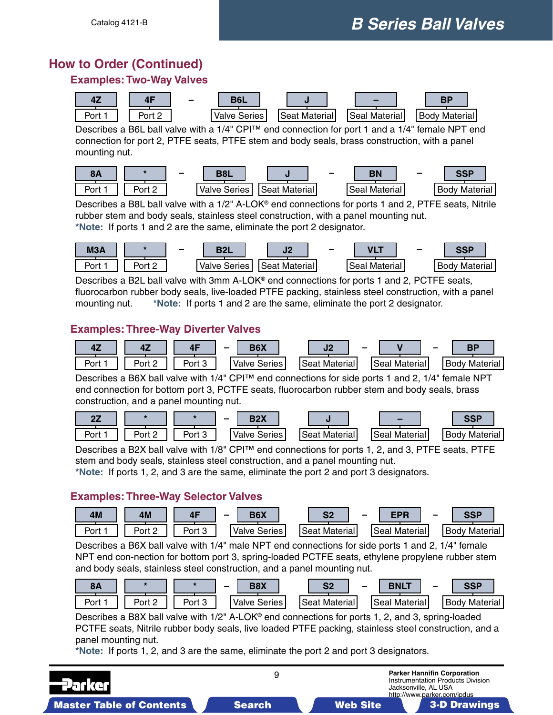## <span id="page-8-0"></span>**How to Order (Continued)**

## **Examples: Two-Way Valves**



Describes a B6L ball valve with a 1/4" CPI™ end connection for port 1 and a 1/4" female NPT end connection for port 2, PTFE seats, PTFE stem and body seals, brass construction, with a panel mounting nut.



Describes a B8L ball valve with a 1/2" A-LOK® end connections for ports 1 and 2, PTFE seats, Nitrile rubber stem and body seals, stainless steel construction, with a panel mounting nut. **\*Note:** If ports 1 and 2 are the same, eliminate the port 2 designator.



Describes a B2L ball valve with 3mm A-LOK® end connections for ports 1 and 2, PCTFE seats, fluorocarbon rubber body seals, live-loaded PTFE packing, stainless steel construction, with a panel mounting nut. **\*Note:** If ports 1 and 2 are the same, eliminate the port 2 designator.

## **Examples: Three-Way Diverter Valves**



Describes a B6X ball valve with 1/4" CPI™ end connections for side ports 1 and 2, 1/4" female NPT end connection for bottom port 3, PCTFE seats, fluorocarbon rubber stem and body seals, brass construction, and a panel mounting nut.

|      |                |                | <b>DAV</b><br>-<br>--- |                  | $\sim$           | COD                  |
|------|----------------|----------------|------------------------|------------------|------------------|----------------------|
| Port | Port<br>£<br>- | Port<br>$\sim$ | ∽<br>Series<br>Valve l | Material<br>`∆at | Material<br>Seal | Material I<br>: Bodv |

Describes a B2X ball valve with 1/8" CPI™ end connections for ports 1, 2, and 3, PTFE seats, PTFE stem and body seals, stainless steel construction, and a panel mounting nut.

**\*Note:** If ports 1, 2, and 3 are the same, eliminate the port 2 and port 3 designators.

## **Examples: Three-Way Selector Valves**



Describes a B6X ball valve with 1/4" male NPT end connections for side ports 1 and 2, 1/4" female NPT end con-nection for bottom port 3, spring-loaded PCTFE seats, ethylene propylene rubber stem and body seals, stainless steel construction, and a panel mounting nut.

| эπ   |             |        | <b>DOV</b><br>- | ິ<br>- 74            | - | <b>BNL1</b>         | - | eed               |
|------|-------------|--------|-----------------|----------------------|---|---------------------|---|-------------------|
| Port | Port $\sim$ | Port 3 | Valve Series    | <b>Seat Material</b> |   | `Seal .<br>Material |   | Material<br>'Bodv |

Describes a B8X ball valve with  $1/2$ " A-LOK<sup>®</sup> end connections for ports 1, 2, and 3, spring-loaded PCTFE seats, Nitrile rubber body seals, live loaded PTFE packing, stainless steel construction, and a panel mounting nut.

**\*Note:** If ports 1, 2, and 3 are the same, eliminate the port 2 and port 3 designators.

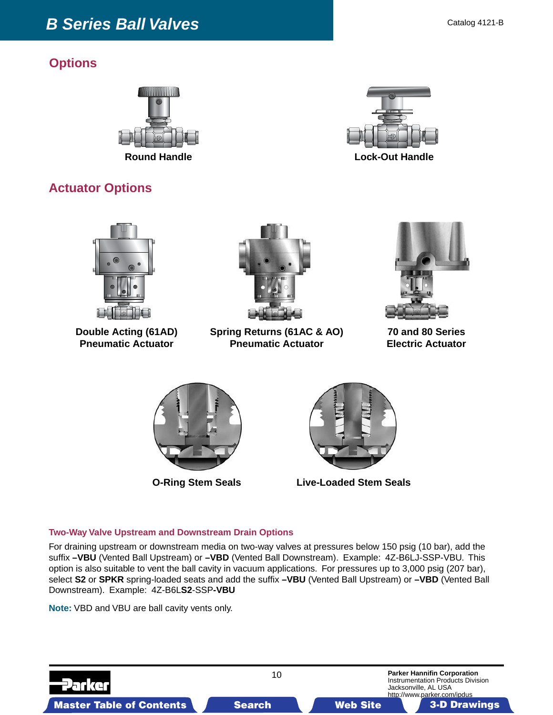## <span id="page-9-0"></span>**Options**





## **Actuator Options**



**Double Acting (61AD) Pneumatic Actuator**



**Spring Returns (61AC & AO) Pneumatic Actuator**



**70 and 80 Series Electric Actuator**





**O-Ring Stem Seals Live-Loaded Stem Seals**

## **Two-Way Valve Upstream and Downstream Drain Options**

For draining upstream or downstream media on two-way valves at pressures below 150 psig (10 bar), add the suffix **–VBU** (Vented Ball Upstream) or **–VBD** (Vented Ball Downstream). Example: 4Z-B6LJ-SSP-VBU. This option is also suitable to vent the ball cavity in vacuum applications. For pressures up to 3,000 psig (207 bar), select **S2** or **SPKR** spring-loaded seats and add the suffix **–VBU** (Vented Ball Upstream) or **–VBD** (Vented Ball Downstream). Example: 4Z-B6L**S2**-SSP**-VBU**

**Note:** VBD and VBU are ball cavity vents only.

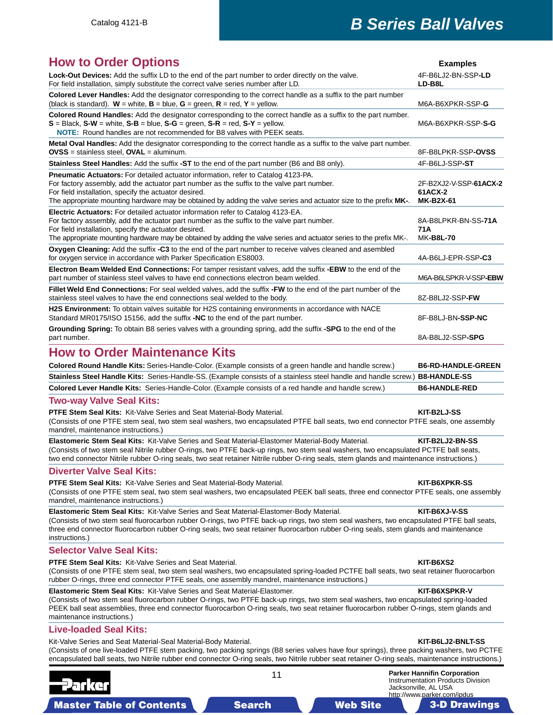<span id="page-10-0"></span>

|  |  | <b>How to Order Options</b> |
|--|--|-----------------------------|
|  |  |                             |

| <b>How to Order Options</b>                                                                                                                                                                                                                                                                                                                                          | <b>Examples</b>                                       |
|----------------------------------------------------------------------------------------------------------------------------------------------------------------------------------------------------------------------------------------------------------------------------------------------------------------------------------------------------------------------|-------------------------------------------------------|
| Lock-Out Devices: Add the suffix LD to the end of the part number to order directly on the valve.<br>For field installation, simply substitute the correct valve series number after LD.                                                                                                                                                                             | 4F-B6LJ2-BN-SSP-LD<br>LD-B8L                          |
| Colored Lever Handles: Add the designator corresponding to the correct handle as a suffix to the part number<br>(black is standard). W = white, $B =$ blue, $G =$ green, $R =$ red, $Y =$ yellow.                                                                                                                                                                    | M6A-B6XPKR-SSP-G                                      |
| Colored Round Handles: Add the designator corresponding to the correct handle as a suffix to the part number.<br>$S = Black$ , $S-W = white$ , $S-B = blue$ , $S-G = green$ , $S-R = red$ , $S-Y = yellow$ .<br>NOTE: Round handles are not recommended for B8 valves with PEEK seats.                                                                               | M6A-B6XPKR-SSP-S-G                                    |
| Metal Oval Handles: Add the designator corresponding to the correct handle as a suffix to the valve part number.<br>$OVSS =$ stainless steel, $OVAL =$ aluminum.                                                                                                                                                                                                     | 8F-B8LPKR-SSP-OVSS                                    |
| Stainless Steel Handles: Add the suffix -ST to the end of the part number (B6 and B8 only).                                                                                                                                                                                                                                                                          | 4F-B6LJ-SSP-ST                                        |
| <b>Pneumatic Actuators:</b> For detailed actuator information, refer to Catalog 4123-PA.<br>For factory assembly, add the actuator part number as the suffix to the valve part number.<br>For field installation, specify the actuator desired.<br>The appropriate mounting hardware may be obtained by adding the valve series and actuator size to the prefix MK-. | 2F-B2XJ2-V-SSP-61ACX-2<br>61ACX-2<br><b>MK-B2X-61</b> |
| Electric Actuators: For detailed actuator information refer to Catalog 4123-EA.<br>For factory assembly, add the actuator part number as the suffix to the valve part number.<br>For field installation, specify the actuator desired.<br>The appropriate mounting hardware may be obtained by adding the valve series and actuator series to the prefix MK-.        | 8A-B8LPKR-BN-SS-71A<br>71A<br><b>MK-B8L-70</b>        |
| Oxygen Cleaning: Add the suffix -C3 to the end of the part number to receive valves cleaned and asembled<br>for oxygen service in accordance with Parker Specification ES8003.                                                                                                                                                                                       | 4A-B6LJ-EPR-SSP-C3                                    |
| Electron Beam Welded End Connections: For tamper resistant valves, add the suffix -EBW to the end of the<br>part number of stainless steel valves to have end connections electron beam welded.                                                                                                                                                                      | M6A-B6LSPKR-V-SSP-EBW                                 |
| Fillet Weld End Connections: For seal welded valves, add the suffix -FW to the end of the part number of the<br>stainless steel valves to have the end connections seal welded to the body.                                                                                                                                                                          | 8Z-B8LJ2-SSP-FW                                       |
| H2S Environment: To obtain valves suitable for H2S containing environments in accordance with NACE<br>Standard MR0175/ISO 15156, add the suffix <b>-NC</b> to the end of the part number.                                                                                                                                                                            | 8F-B8LJ-BN-SSP-NC                                     |
| Grounding Spring: To obtain B8 series valves with a grounding spring, add the suffix -SPG to the end of the<br>part number.                                                                                                                                                                                                                                          | 8A-B8LJ2-SSP-SPG                                      |
| <b>How to Order Maintenance Kits</b>                                                                                                                                                                                                                                                                                                                                 |                                                       |

| Colored Round Handle Kits: Series-Handle-Color. (Example consists of a green handle and handle screw.)                       | <b>B6-RD-HANDLE-GREEN</b> |
|------------------------------------------------------------------------------------------------------------------------------|---------------------------|
| Stainless Steel Handle Kits: Series-Handle-SS. (Example consists of a stainless steel handle and handle screw.) B8-HANDLE-SS |                           |
| Colored Lever Handle Kits: Series-Handle-Color. (Example consists of a red handle and handle screw.)                         | <b>B6-HANDLE-RED</b>      |

#### **Two-way Valve Seal Kits:**

**PTFE Stem Seal Kits:** Kit-Valve Series and Seat Material-Body Material. **KIT-B2LJ-SS KIT-B2LJ-SS** 

(Consists of one PTFE stem seal, two stem seal washers, two encapsulated PTFE ball seats, two end connector PTFE seals, one assembly mandrel, maintenance instructions.)

**Elastomeric Stem Seal Kits:** Kit-Valve Series and Seat Material-Elastomer Material-Body Material. **KIT-B2LJ2-BN-SS** (Consists of two stem seal Nitrile rubber O-rings, two PTFE back-up rings, two stem seal washers, two encapsulated PCTFE ball seats, two end connector Nitrile rubber O-ring seals, two seat retainer Nitrile rubber O-ring seals, stem glands and maintenance instructions.)

#### **Diverter Valve Seal Kits:**

**PTFE Stem Seal Kits:** Kit-Valve Series and Seat Material-Body Material. **KIT-B6XPKR-SS KIT-B6XPKR-SS** 

(Consists of one PTFE stem seal, two stem seal washers, two encapsulated PEEK ball seats, three end connector PTFE seals, one assembly mandrel, maintenance instructions.)

**Elastomeric Stem Seal Kits:** Kit-Valve Series and Seat Material-Elastomer-Body Material. **KIT-B6XJ-V-SS** (Consists of two stem seal fluorocarbon rubber O-rings, two PTFE back-up rings, two stem seal washers, two encapsulated PTFE ball seats, three end connector fluorocarbon rubber O-ring seals, two seat retainer fluorocarbon rubber O-ring seals, stem glands and maintenance instructions.)

## **Selector Valve Seal Kits:**

**PTFE Stem Seal Kits:** Kit-Valve Series and Seat Material. **KIT-B6XS2 KIT-B6XS2** 

(Consists of one PTFE stem seal, two stem seal washers, two encapsulated spring-loaded PCTFE ball seats, two seat retainer fluorocarbon rubber O-rings, three end connector PTFE seals, one assembly mandrel, maintenance instructions.)

#### **Elastomeric Stem Seal Kits:** Kit-Valve Series and Seat Material-Elastomer. **KIT-B6XSPKR-V KIT-B6XSPKR-V**

(Consists of two stem seal fluorocarbon rubber O-rings, two PTFE back-up rings, two stem seal washers, two encapsulated spring-loaded PEEK ball seat assemblies, three end connector fluorocarbon O-ring seals, two seat retainer fluorocarbon rubber O-rings, stem glands and maintenance instructions.)

#### **Live-loaded Seal Kits:**

Kit-Valve Series and Seat Material-Seal Material-Body Material. **KIT-B6LJ2-BNLT-SS**

(Consists of one live-loaded PTFE stem packing, two packing springs (B8 series valves have four springs), three packing washers, two PCTFE encapsulated ball seats, two Nitrile rubber end connector O-ring seals, two Nitrile rubber seat retainer O-ring seals, maintenance instructions.)

| 11 | <b>Parker Hannifin Corporation</b> |
|----|------------------------------------|
|    | Instrumentation Products Division  |
|    | Jacksonville, AL USA               |
|    | http://www.parker.com/ipdus        |
|    |                                    |

Master Table of Contents **3. Dearch Master Table of Contents 3-D Drawings 3-D Drawings 3-D Drawings 3-D Drawings**